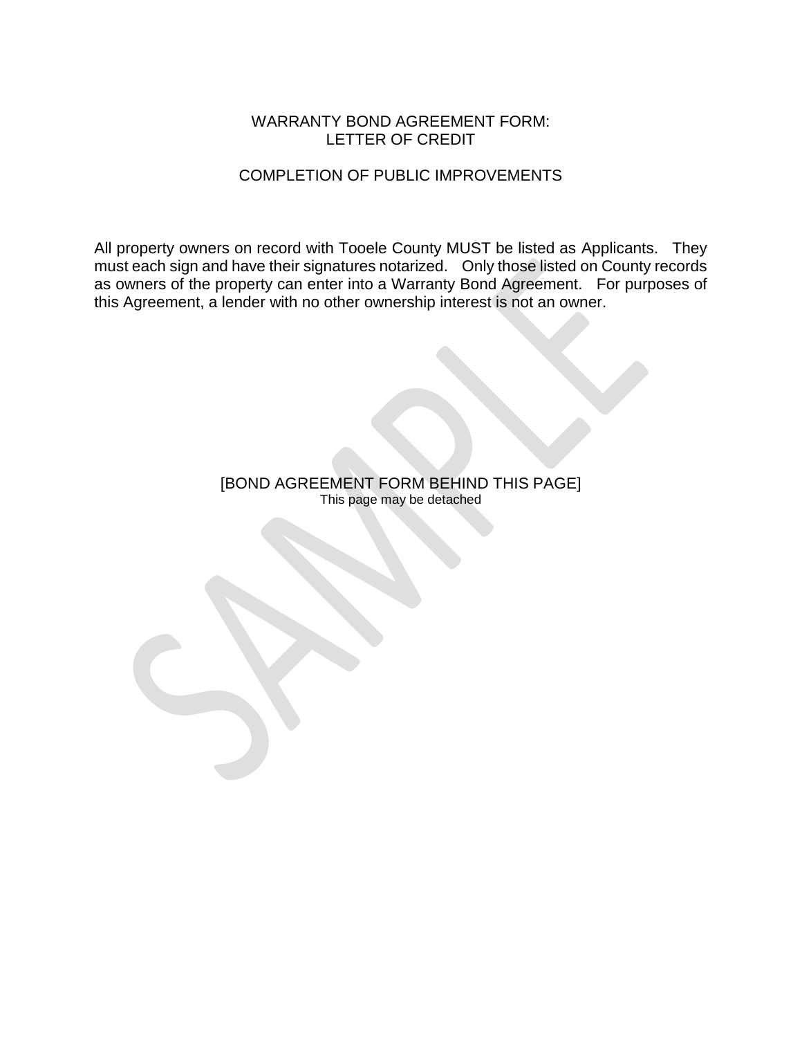#### WARRANTY BOND AGREEMENT FORM: LETTER OF CREDIT

### COMPLETION OF PUBLIC IMPROVEMENTS

All property owners on record with Tooele County MUST be listed as Applicants. They must each sign and have their signatures notarized. Only those listed on County records as owners of the property can enter into a Warranty Bond Agreement. For purposes of this Agreement, a lender with no other ownership interest is not an owner.

> [BOND AGREEMENT FORM BEHIND THIS PAGE] This page may be detached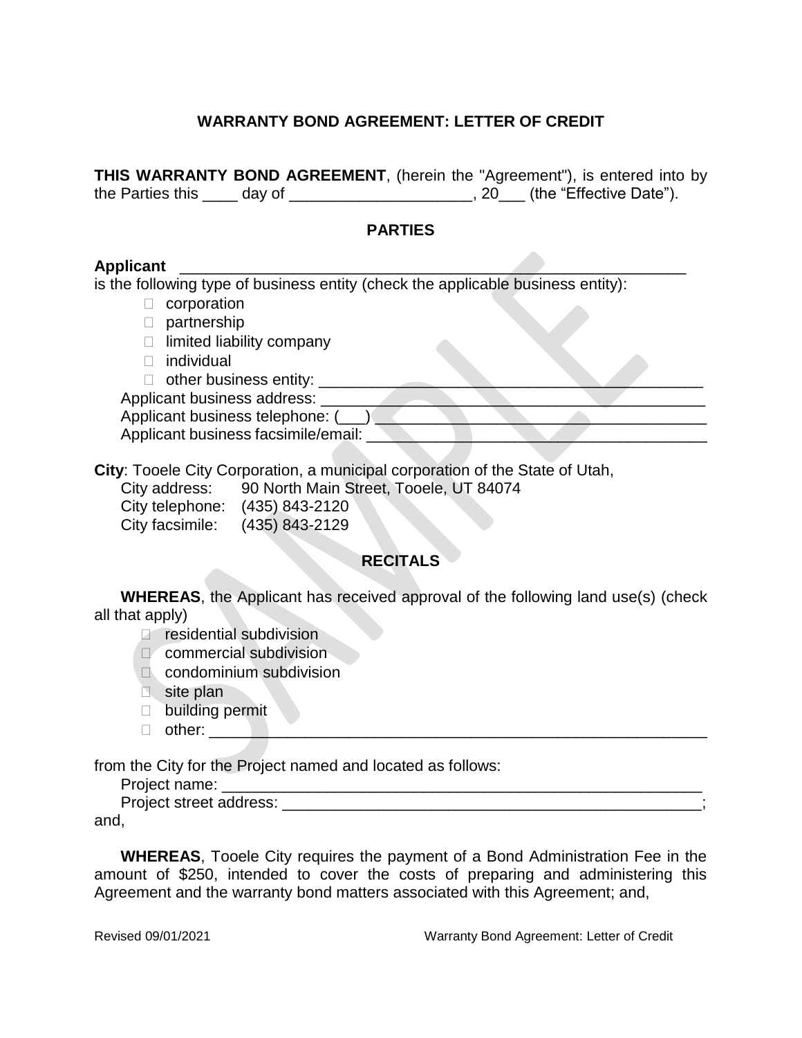## **WARRANTY BOND AGREEMENT: LETTER OF CREDIT**

**THIS WARRANTY BOND AGREEMENT**, (herein the "Agreement"), is entered into by the Parties this \_\_\_\_ day of \_\_\_\_\_\_\_\_\_\_\_\_\_\_\_\_\_\_\_\_\_\_, 20\_\_\_ (the "Effective Date").

#### **PARTIES**

#### **Applicant** \_\_\_\_\_\_\_\_\_\_\_\_\_\_\_\_\_\_\_\_\_\_\_\_\_\_\_\_\_\_\_\_\_\_\_\_\_\_\_\_\_\_\_\_\_\_\_\_\_\_\_\_\_\_\_\_\_\_

is the following type of business entity (check the applicable business entity):

- $\Box$  corporation
- D partnership
- $\Box$  limited liability company
- □ individual
- $\Box$  other business entity:  $\Box$

Applicant business address:

Applicant business telephone: (\_\_\_)

Applicant business facsimile/email:

**City**: Tooele City Corporation, a municipal corporation of the State of Utah,

City address: 90 North Main Street, Tooele, UT 84074

City telephone: (435) 843-2120 City facsimile: (435) 843-2129

### **RECITALS**

**WHEREAS**, the Applicant has received approval of the following land use(s) (check all that apply)

**P** residential subdivision

- D commercial subdivision
- condominium subdivision
- site plan
- □ building permit
- other: \_\_\_\_\_\_\_\_\_\_\_\_\_\_\_\_\_\_\_\_\_\_\_\_\_\_\_\_\_\_\_\_\_\_\_\_\_\_\_\_\_\_\_\_\_\_\_\_\_\_\_\_\_\_\_\_\_

from the City for the Project named and located as follows:

Project name: \_\_\_\_\_\_\_\_\_\_\_\_\_\_\_\_\_\_\_\_\_\_\_\_\_\_\_\_\_\_\_\_\_\_\_\_\_\_\_\_\_\_\_\_\_\_\_\_\_\_\_\_\_\_\_

Project street address: \_\_\_\_\_\_\_\_\_\_\_\_\_\_\_\_\_\_\_\_\_\_\_\_\_\_\_\_\_\_\_\_\_\_\_\_\_\_\_\_\_\_\_\_\_\_\_\_;

and,

**WHEREAS**, Tooele City requires the payment of a Bond Administration Fee in the amount of \$250, intended to cover the costs of preparing and administering this Agreement and the warranty bond matters associated with this Agreement; and,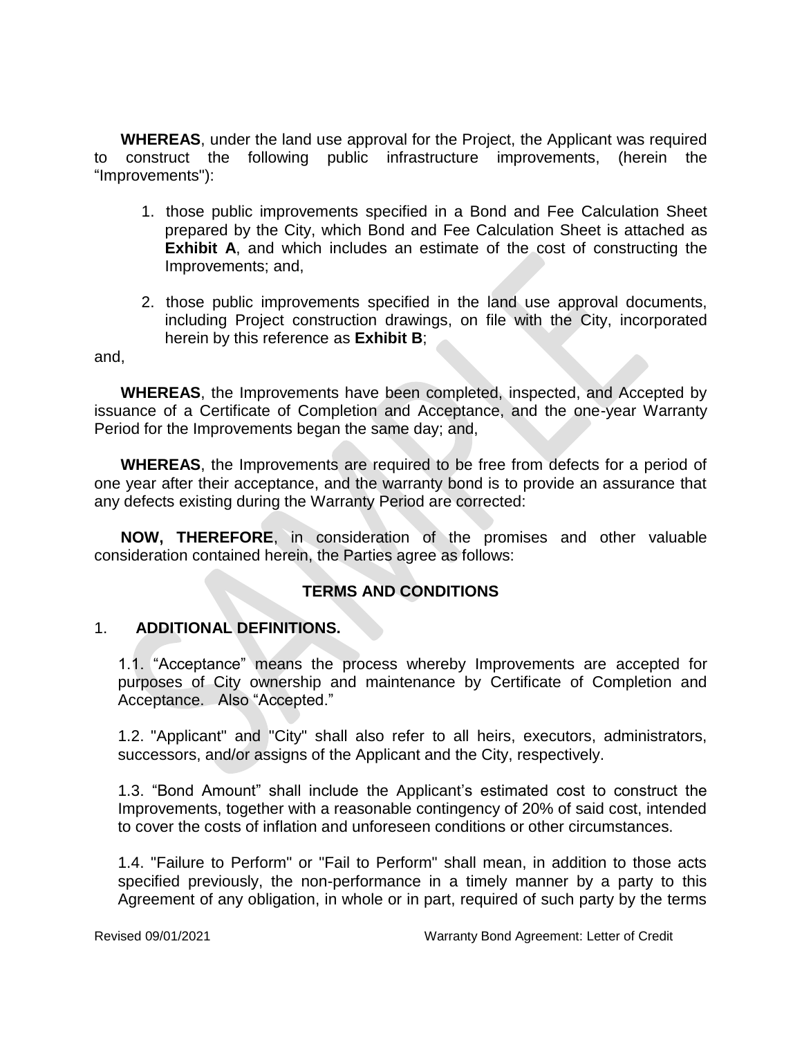**WHEREAS**, under the land use approval for the Project, the Applicant was required to construct the following public infrastructure improvements, (herein the "Improvements"):

- 1. those public improvements specified in a Bond and Fee Calculation Sheet prepared by the City, which Bond and Fee Calculation Sheet is attached as **Exhibit A**, and which includes an estimate of the cost of constructing the Improvements; and,
- 2. those public improvements specified in the land use approval documents, including Project construction drawings, on file with the City, incorporated herein by this reference as **Exhibit B**;

and,

**WHEREAS**, the Improvements have been completed, inspected, and Accepted by issuance of a Certificate of Completion and Acceptance, and the one-year Warranty Period for the Improvements began the same day; and,

**WHEREAS**, the Improvements are required to be free from defects for a period of one year after their acceptance, and the warranty bond is to provide an assurance that any defects existing during the Warranty Period are corrected:

**NOW, THEREFORE**, in consideration of the promises and other valuable consideration contained herein, the Parties agree as follows:

#### **TERMS AND CONDITIONS**

#### 1. **ADDITIONAL DEFINITIONS.**

1.1. "Acceptance" means the process whereby Improvements are accepted for purposes of City ownership and maintenance by Certificate of Completion and Acceptance. Also "Accepted."

1.2. "Applicant" and "City" shall also refer to all heirs, executors, administrators, successors, and/or assigns of the Applicant and the City, respectively.

1.3. "Bond Amount" shall include the Applicant's estimated cost to construct the Improvements, together with a reasonable contingency of 20% of said cost, intended to cover the costs of inflation and unforeseen conditions or other circumstances.

1.4. "Failure to Perform" or "Fail to Perform" shall mean, in addition to those acts specified previously, the non-performance in a timely manner by a party to this Agreement of any obligation, in whole or in part, required of such party by the terms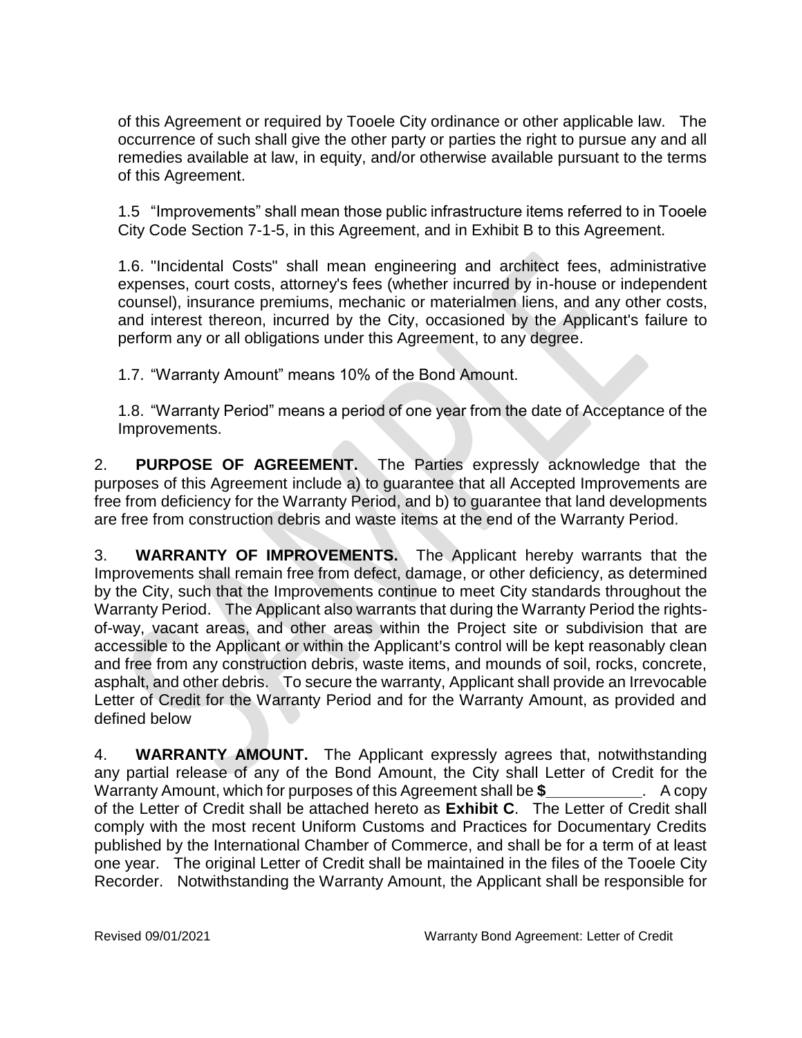of this Agreement or required by Tooele City ordinance or other applicable law. The occurrence of such shall give the other party or parties the right to pursue any and all remedies available at law, in equity, and/or otherwise available pursuant to the terms of this Agreement.

1.5 "Improvements" shall mean those public infrastructure items referred to in Tooele City Code Section 7-1-5, in this Agreement, and in Exhibit B to this Agreement.

1.6. "Incidental Costs" shall mean engineering and architect fees, administrative expenses, court costs, attorney's fees (whether incurred by in-house or independent counsel), insurance premiums, mechanic or materialmen liens, and any other costs, and interest thereon, incurred by the City, occasioned by the Applicant's failure to perform any or all obligations under this Agreement, to any degree.

1.7. "Warranty Amount" means 10% of the Bond Amount.

1.8. "Warranty Period" means a period of one year from the date of Acceptance of the Improvements.

2. **PURPOSE OF AGREEMENT.** The Parties expressly acknowledge that the purposes of this Agreement include a) to guarantee that all Accepted Improvements are free from deficiency for the Warranty Period, and b) to guarantee that land developments are free from construction debris and waste items at the end of the Warranty Period.

3. **WARRANTY OF IMPROVEMENTS.** The Applicant hereby warrants that the Improvements shall remain free from defect, damage, or other deficiency, as determined by the City, such that the Improvements continue to meet City standards throughout the Warranty Period. The Applicant also warrants that during the Warranty Period the rightsof-way, vacant areas, and other areas within the Project site or subdivision that are accessible to the Applicant or within the Applicant's control will be kept reasonably clean and free from any construction debris, waste items, and mounds of soil, rocks, concrete, asphalt, and other debris. To secure the warranty, Applicant shall provide an Irrevocable Letter of Credit for the Warranty Period and for the Warranty Amount, as provided and defined below

4. **WARRANTY AMOUNT.** The Applicant expressly agrees that, notwithstanding any partial release of any of the Bond Amount, the City shall Letter of Credit for the Warranty Amount, which for purposes of this Agreement shall be \$ . A copy of the Letter of Credit shall be attached hereto as **Exhibit C**. The Letter of Credit shall comply with the most recent Uniform Customs and Practices for Documentary Credits published by the International Chamber of Commerce, and shall be for a term of at least one year. The original Letter of Credit shall be maintained in the files of the Tooele City Recorder. Notwithstanding the Warranty Amount, the Applicant shall be responsible for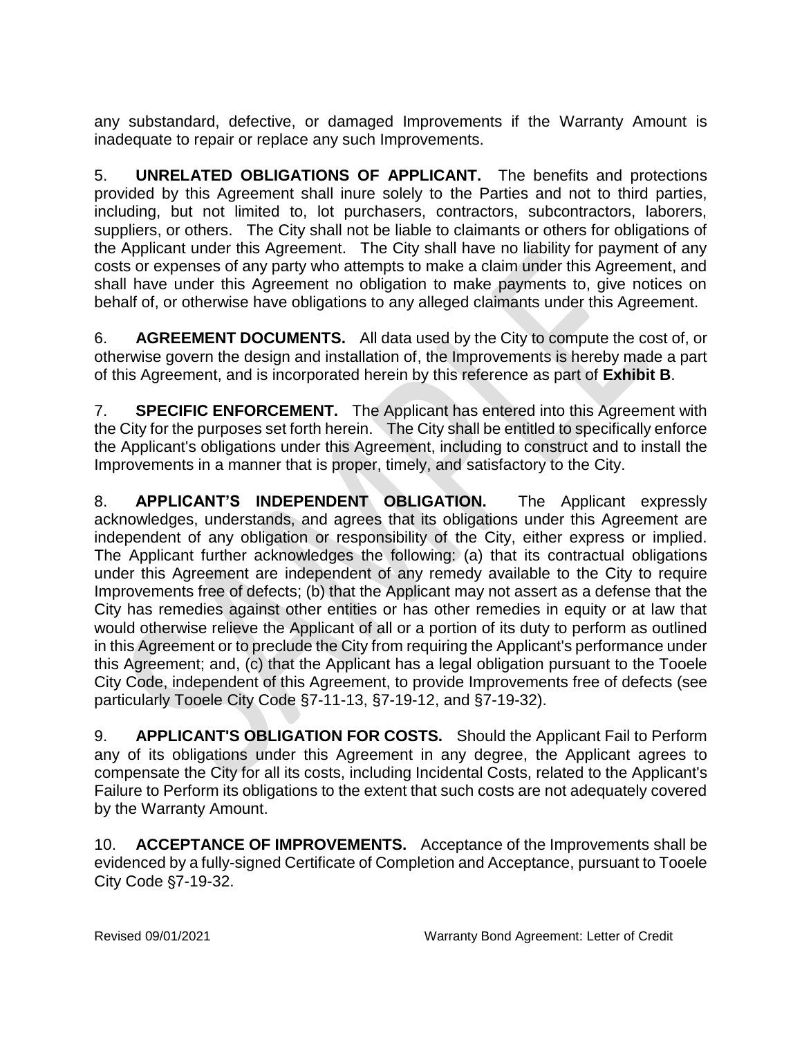any substandard, defective, or damaged Improvements if the Warranty Amount is inadequate to repair or replace any such Improvements.

5. **UNRELATED OBLIGATIONS OF APPLICANT.** The benefits and protections provided by this Agreement shall inure solely to the Parties and not to third parties, including, but not limited to, lot purchasers, contractors, subcontractors, laborers, suppliers, or others. The City shall not be liable to claimants or others for obligations of the Applicant under this Agreement. The City shall have no liability for payment of any costs or expenses of any party who attempts to make a claim under this Agreement, and shall have under this Agreement no obligation to make payments to, give notices on behalf of, or otherwise have obligations to any alleged claimants under this Agreement.

6. **AGREEMENT DOCUMENTS.** All data used by the City to compute the cost of, or otherwise govern the design and installation of, the Improvements is hereby made a part of this Agreement, and is incorporated herein by this reference as part of **Exhibit B**.

7. **SPECIFIC ENFORCEMENT.** The Applicant has entered into this Agreement with the City for the purposes set forth herein. The City shall be entitled to specifically enforce the Applicant's obligations under this Agreement, including to construct and to install the Improvements in a manner that is proper, timely, and satisfactory to the City.

8. **APPLICANT'S INDEPENDENT OBLIGATION.** The Applicant expressly acknowledges, understands, and agrees that its obligations under this Agreement are independent of any obligation or responsibility of the City, either express or implied. The Applicant further acknowledges the following: (a) that its contractual obligations under this Agreement are independent of any remedy available to the City to require Improvements free of defects; (b) that the Applicant may not assert as a defense that the City has remedies against other entities or has other remedies in equity or at law that would otherwise relieve the Applicant of all or a portion of its duty to perform as outlined in this Agreement or to preclude the City from requiring the Applicant's performance under this Agreement; and, (c) that the Applicant has a legal obligation pursuant to the Tooele City Code, independent of this Agreement, to provide Improvements free of defects (see particularly Tooele City Code §7-11-13, §7-19-12, and §7-19-32).

9. **APPLICANT'S OBLIGATION FOR COSTS.** Should the Applicant Fail to Perform any of its obligations under this Agreement in any degree, the Applicant agrees to compensate the City for all its costs, including Incidental Costs, related to the Applicant's Failure to Perform its obligations to the extent that such costs are not adequately covered by the Warranty Amount.

10. **ACCEPTANCE OF IMPROVEMENTS.** Acceptance of the Improvements shall be evidenced by a fully-signed Certificate of Completion and Acceptance, pursuant to Tooele City Code \$7-19-32.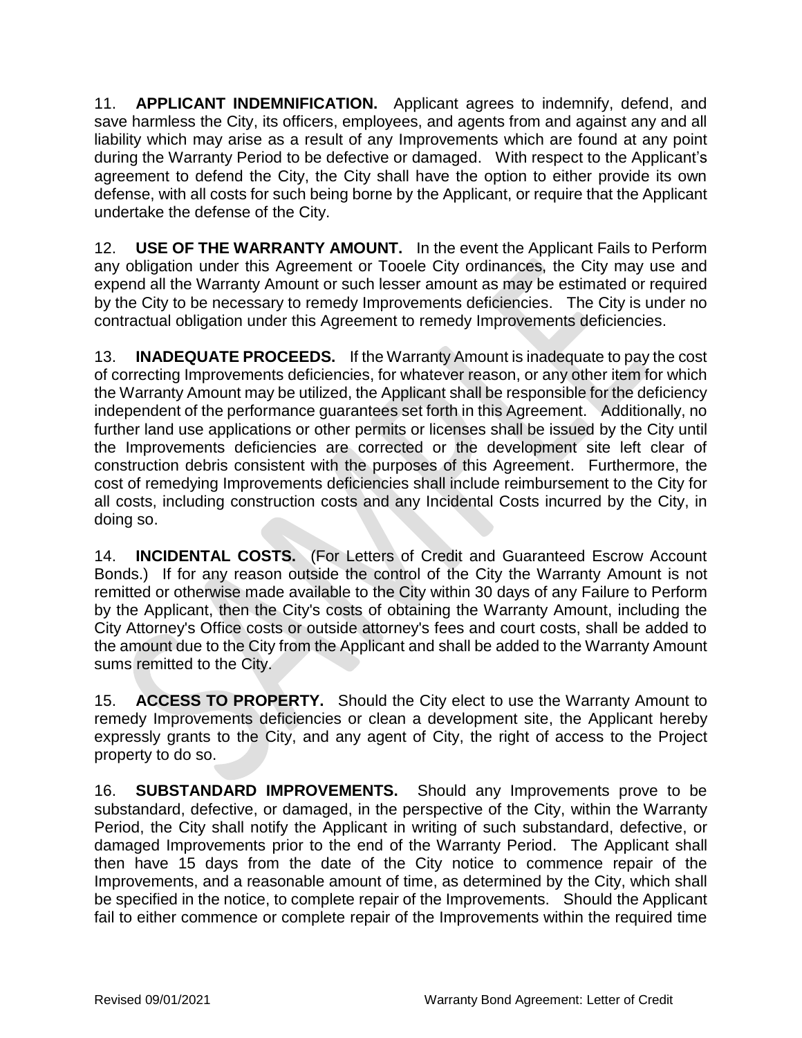11. **APPLICANT INDEMNIFICATION.** Applicant agrees to indemnify, defend, and save harmless the City, its officers, employees, and agents from and against any and all liability which may arise as a result of any Improvements which are found at any point during the Warranty Period to be defective or damaged. With respect to the Applicant's agreement to defend the City, the City shall have the option to either provide its own defense, with all costs for such being borne by the Applicant, or require that the Applicant undertake the defense of the City.

12. **USE OF THE WARRANTY AMOUNT.** In the event the Applicant Fails to Perform any obligation under this Agreement or Tooele City ordinances, the City may use and expend all the Warranty Amount or such lesser amount as may be estimated or required by the City to be necessary to remedy Improvements deficiencies. The City is under no contractual obligation under this Agreement to remedy Improvements deficiencies.

13. **INADEQUATE PROCEEDS.** If the Warranty Amount is inadequate to pay the cost of correcting Improvements deficiencies, for whatever reason, or any other item for which the Warranty Amount may be utilized, the Applicant shall be responsible for the deficiency independent of the performance guarantees set forth in this Agreement. Additionally, no further land use applications or other permits or licenses shall be issued by the City until the Improvements deficiencies are corrected or the development site left clear of construction debris consistent with the purposes of this Agreement. Furthermore, the cost of remedying Improvements deficiencies shall include reimbursement to the City for all costs, including construction costs and any Incidental Costs incurred by the City, in doing so.

14. **INCIDENTAL COSTS.** (For Letters of Credit and Guaranteed Escrow Account Bonds.) If for any reason outside the control of the City the Warranty Amount is not remitted or otherwise made available to the City within 30 days of any Failure to Perform by the Applicant, then the City's costs of obtaining the Warranty Amount, including the City Attorney's Office costs or outside attorney's fees and court costs, shall be added to the amount due to the City from the Applicant and shall be added to the Warranty Amount sums remitted to the City.

15. **ACCESS TO PROPERTY.** Should the City elect to use the Warranty Amount to remedy Improvements deficiencies or clean a development site, the Applicant hereby expressly grants to the City, and any agent of City, the right of access to the Project property to do so.

16. **SUBSTANDARD IMPROVEMENTS.** Should any Improvements prove to be substandard, defective, or damaged, in the perspective of the City, within the Warranty Period, the City shall notify the Applicant in writing of such substandard, defective, or damaged Improvements prior to the end of the Warranty Period. The Applicant shall then have 15 days from the date of the City notice to commence repair of the Improvements, and a reasonable amount of time, as determined by the City, which shall be specified in the notice, to complete repair of the Improvements. Should the Applicant fail to either commence or complete repair of the Improvements within the required time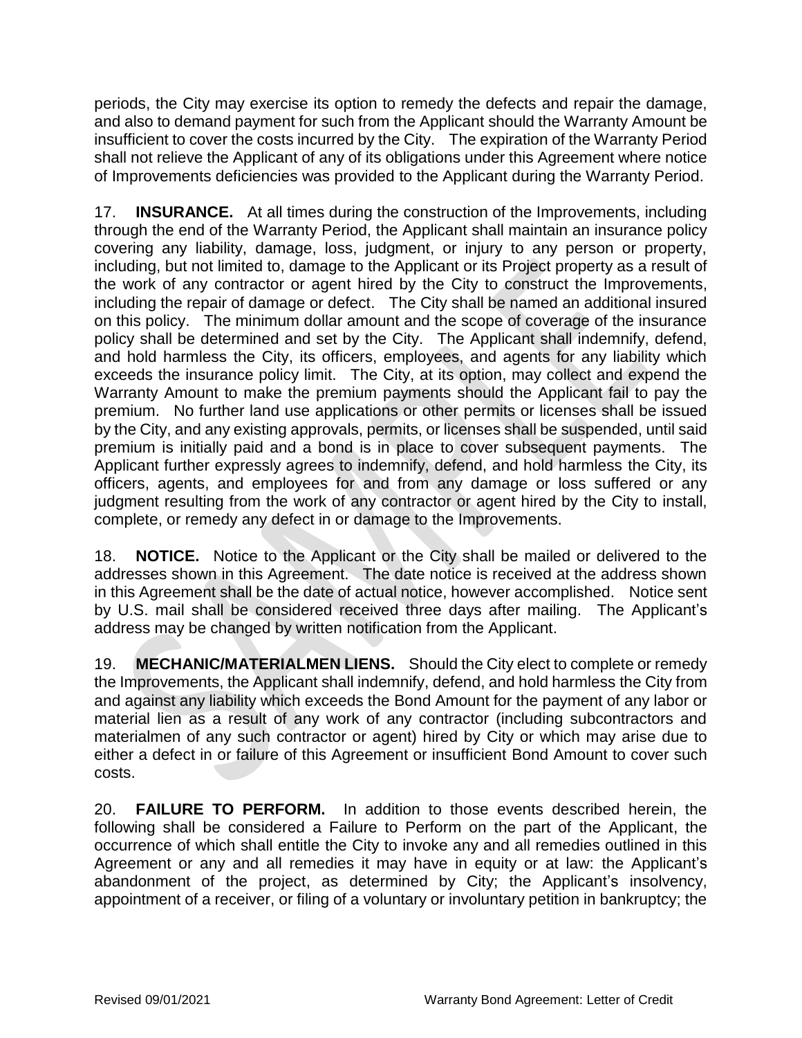periods, the City may exercise its option to remedy the defects and repair the damage, and also to demand payment for such from the Applicant should the Warranty Amount be insufficient to cover the costs incurred by the City. The expiration of the Warranty Period shall not relieve the Applicant of any of its obligations under this Agreement where notice of Improvements deficiencies was provided to the Applicant during the Warranty Period.

17. **INSURANCE.** At all times during the construction of the Improvements, including through the end of the Warranty Period, the Applicant shall maintain an insurance policy covering any liability, damage, loss, judgment, or injury to any person or property, including, but not limited to, damage to the Applicant or its Project property as a result of the work of any contractor or agent hired by the City to construct the Improvements, including the repair of damage or defect. The City shall be named an additional insured on this policy. The minimum dollar amount and the scope of coverage of the insurance policy shall be determined and set by the City. The Applicant shall indemnify, defend, and hold harmless the City, its officers, employees, and agents for any liability which exceeds the insurance policy limit. The City, at its option, may collect and expend the Warranty Amount to make the premium payments should the Applicant fail to pay the premium. No further land use applications or other permits or licenses shall be issued by the City, and any existing approvals, permits, or licenses shall be suspended, until said premium is initially paid and a bond is in place to cover subsequent payments. The Applicant further expressly agrees to indemnify, defend, and hold harmless the City, its officers, agents, and employees for and from any damage or loss suffered or any judgment resulting from the work of any contractor or agent hired by the City to install, complete, or remedy any defect in or damage to the Improvements.

18. **NOTICE.** Notice to the Applicant or the City shall be mailed or delivered to the addresses shown in this Agreement. The date notice is received at the address shown in this Agreement shall be the date of actual notice, however accomplished. Notice sent by U.S. mail shall be considered received three days after mailing. The Applicant's address may be changed by written notification from the Applicant.

19. **MECHANIC/MATERIALMEN LIENS.** Should the City elect to complete or remedy the Improvements, the Applicant shall indemnify, defend, and hold harmless the City from and against any liability which exceeds the Bond Amount for the payment of any labor or material lien as a result of any work of any contractor (including subcontractors and materialmen of any such contractor or agent) hired by City or which may arise due to either a defect in or failure of this Agreement or insufficient Bond Amount to cover such costs.

20. **FAILURE TO PERFORM.** In addition to those events described herein, the following shall be considered a Failure to Perform on the part of the Applicant, the occurrence of which shall entitle the City to invoke any and all remedies outlined in this Agreement or any and all remedies it may have in equity or at law: the Applicant's abandonment of the project, as determined by City; the Applicant's insolvency, appointment of a receiver, or filing of a voluntary or involuntary petition in bankruptcy; the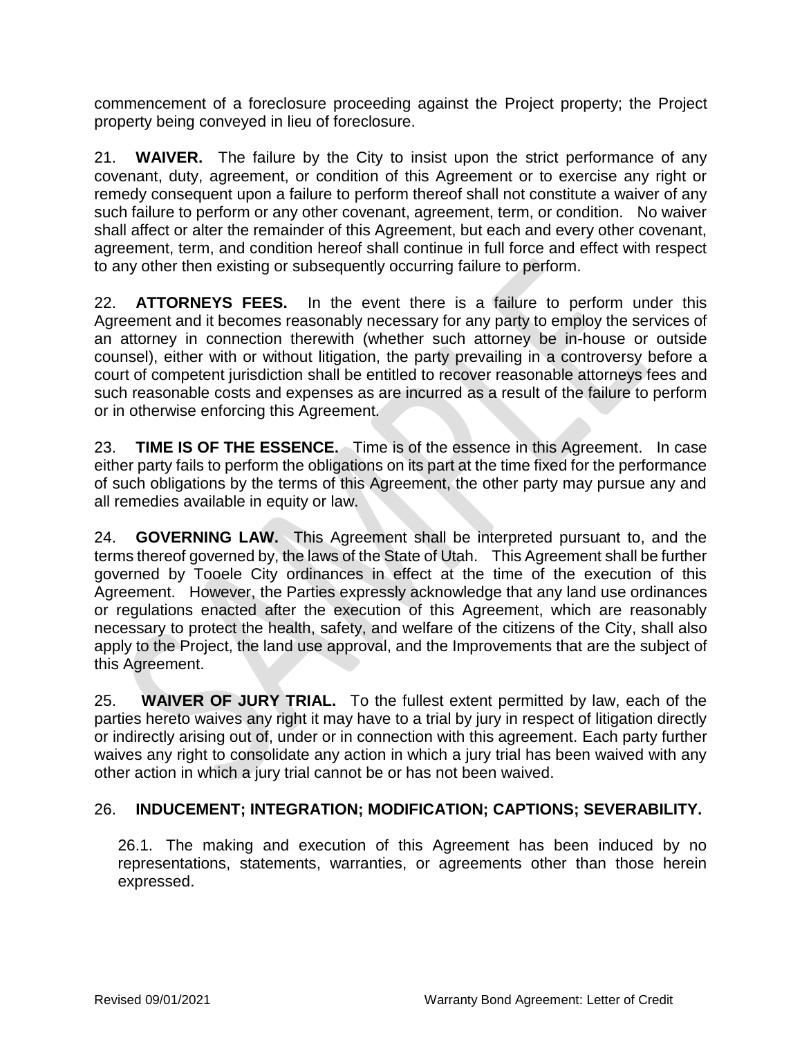commencement of a foreclosure proceeding against the Project property; the Project property being conveyed in lieu of foreclosure.

21. **WAIVER.** The failure by the City to insist upon the strict performance of any covenant, duty, agreement, or condition of this Agreement or to exercise any right or remedy consequent upon a failure to perform thereof shall not constitute a waiver of any such failure to perform or any other covenant, agreement, term, or condition. No waiver shall affect or alter the remainder of this Agreement, but each and every other covenant, agreement, term, and condition hereof shall continue in full force and effect with respect to any other then existing or subsequently occurring failure to perform.

22. **ATTORNEYS FEES.** In the event there is a failure to perform under this Agreement and it becomes reasonably necessary for any party to employ the services of an attorney in connection therewith (whether such attorney be in-house or outside counsel), either with or without litigation, the party prevailing in a controversy before a court of competent jurisdiction shall be entitled to recover reasonable attorneys fees and such reasonable costs and expenses as are incurred as a result of the failure to perform or in otherwise enforcing this Agreement.

23. **TIME IS OF THE ESSENCE.** Time is of the essence in this Agreement. In case either party fails to perform the obligations on its part at the time fixed for the performance of such obligations by the terms of this Agreement, the other party may pursue any and all remedies available in equity or law.

24. **GOVERNING LAW.** This Agreement shall be interpreted pursuant to, and the terms thereof governed by, the laws of the State of Utah. This Agreement shall be further governed by Tooele City ordinances in effect at the time of the execution of this Agreement. However, the Parties expressly acknowledge that any land use ordinances or regulations enacted after the execution of this Agreement, which are reasonably necessary to protect the health, safety, and welfare of the citizens of the City, shall also apply to the Project, the land use approval, and the Improvements that are the subject of this Agreement.

25. **WAIVER OF JURY TRIAL.** To the fullest extent permitted by law, each of the parties hereto waives any right it may have to a trial by jury in respect of litigation directly or indirectly arising out of, under or in connection with this agreement. Each party further waives any right to consolidate any action in which a jury trial has been waived with any other action in which a jury trial cannot be or has not been waived.

### 26. **INDUCEMENT; INTEGRATION; MODIFICATION; CAPTIONS; SEVERABILITY.**

26.1. The making and execution of this Agreement has been induced by no representations, statements, warranties, or agreements other than those herein expressed.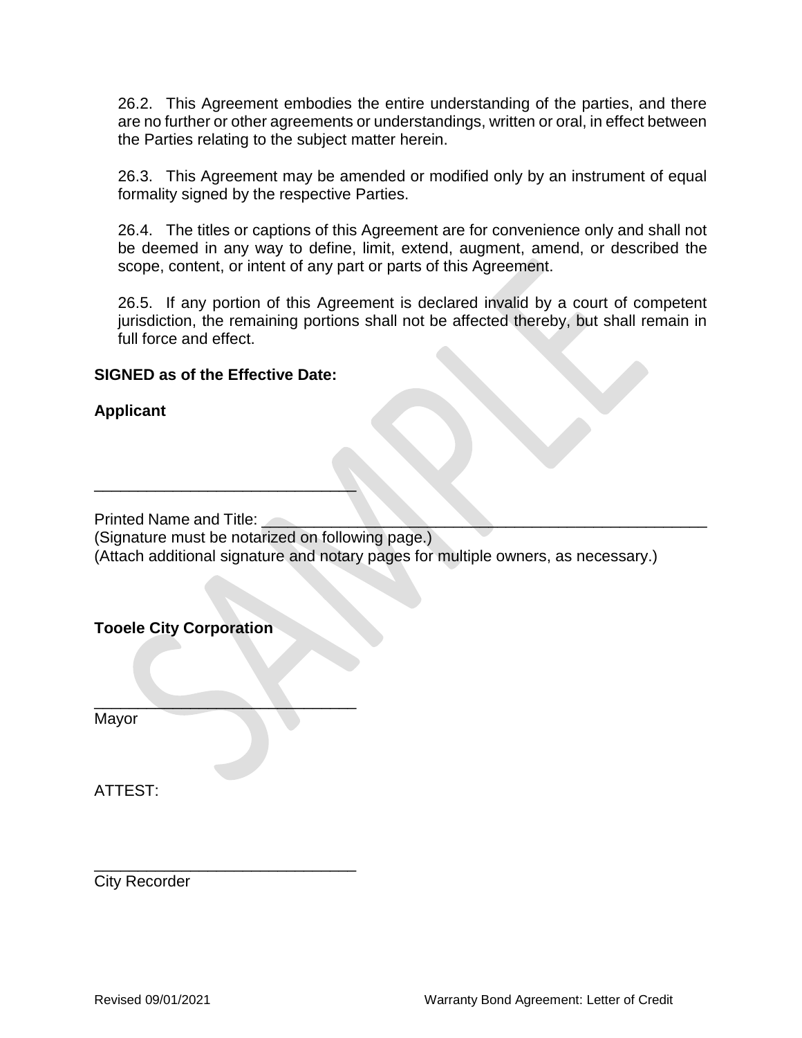26.2. This Agreement embodies the entire understanding of the parties, and there are no further or other agreements or understandings, written or oral, in effect between the Parties relating to the subject matter herein.

26.3. This Agreement may be amended or modified only by an instrument of equal formality signed by the respective Parties.

26.4. The titles or captions of this Agreement are for convenience only and shall not be deemed in any way to define, limit, extend, augment, amend, or described the scope, content, or intent of any part or parts of this Agreement.

26.5. If any portion of this Agreement is declared invalid by a court of competent jurisdiction, the remaining portions shall not be affected thereby, but shall remain in full force and effect.

#### **SIGNED as of the Effective Date:**

\_\_\_\_\_\_\_\_\_\_\_\_\_\_\_\_\_\_\_\_\_\_\_\_\_\_\_\_\_\_

 $\mathcal{L}=\mathcal{L}=\mathcal{L}=\mathcal{L}=\mathcal{L}=\mathcal{L}=\mathcal{L}=\mathcal{L}=\mathcal{L}=\mathcal{L}=\mathcal{L}=\mathcal{L}=\mathcal{L}=\mathcal{L}=\mathcal{L}=\mathcal{L}=\mathcal{L}=\mathcal{L}=\mathcal{L}=\mathcal{L}=\mathcal{L}=\mathcal{L}=\mathcal{L}=\mathcal{L}=\mathcal{L}=\mathcal{L}=\mathcal{L}=\mathcal{L}=\mathcal{L}=\mathcal{L}=\mathcal{L}=\mathcal{L}=\mathcal{L}=\mathcal{L}=\mathcal{L}=\mathcal{L}=\mathcal{$ 

\_\_\_\_\_\_\_\_\_\_\_\_\_\_\_\_\_\_\_\_\_\_\_\_\_\_\_\_\_\_

### **Applicant**

Printed Name and Title:

(Signature must be notarized on following page.)

(Attach additional signature and notary pages for multiple owners, as necessary.)

#### **Tooele City Corporation**

Mayor

ATTEST:

City Recorder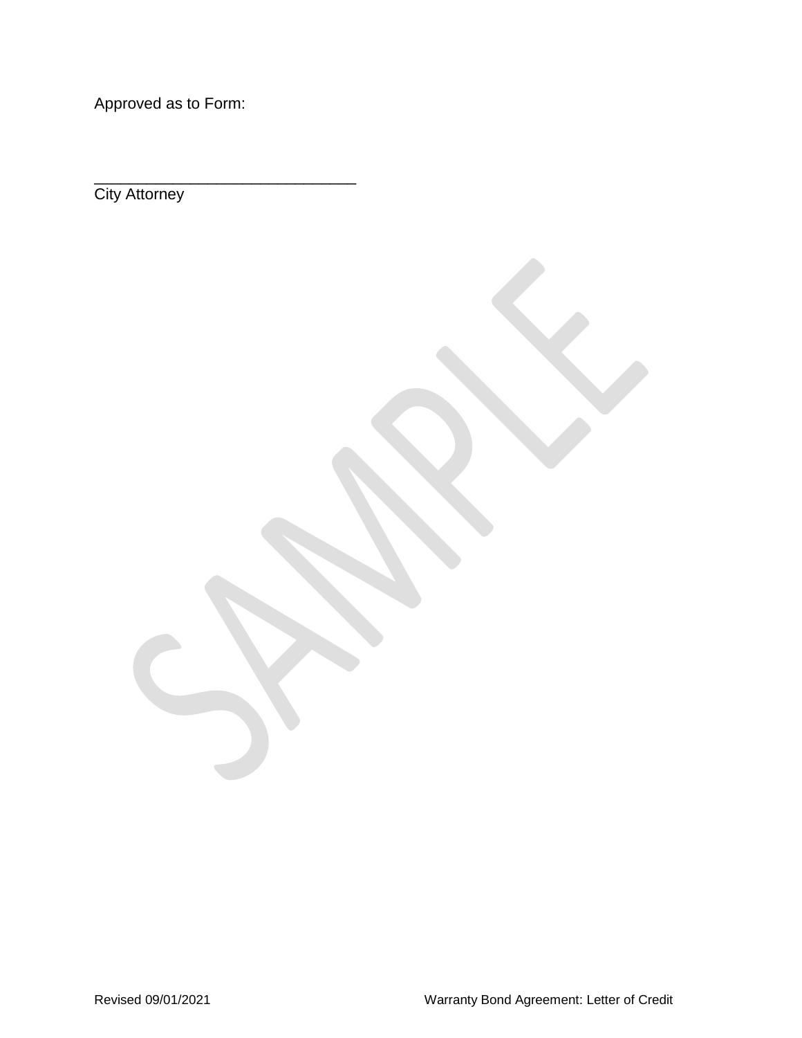Approved as to Form:

\_\_\_\_\_\_\_\_\_\_\_\_\_\_\_\_\_\_\_\_\_\_\_\_\_\_\_\_\_\_

**City Attorney**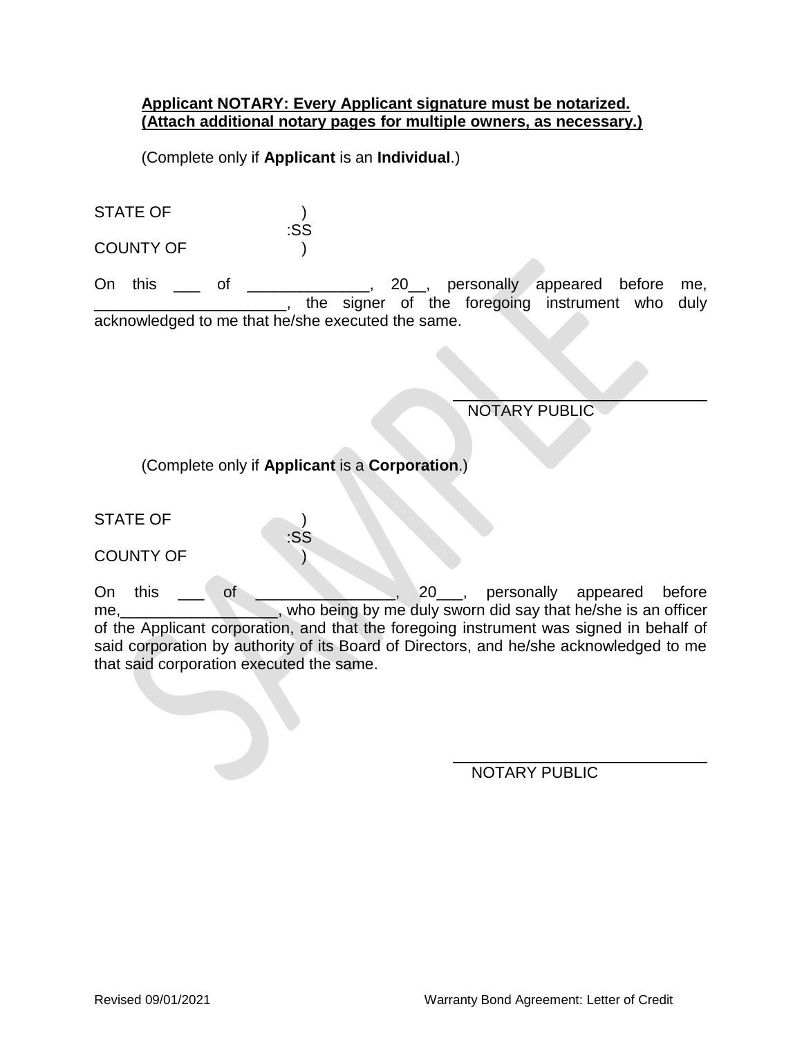#### **Applicant NOTARY: Every Applicant signature must be notarized. (Attach additional notary pages for multiple owners, as necessary.)**

(Complete only if **Applicant** is an **Individual**.)

| <b>STATE OF</b>  |     |
|------------------|-----|
|                  | :SS |
| <b>COUNTY OF</b> |     |

On this \_\_\_ of \_\_\_\_\_\_\_\_\_\_\_\_, 20\_\_, personally appeared before me, <sub>1</sub>, the signer of the foregoing instrument who duly acknowledged to me that he/she executed the same.

 $\overline{a}$ 

 $\overline{a}$ 

NOTARY PUBLIC

(Complete only if **Applicant** is a **Corporation**.)

:SS

STATE OF  $\qquad \qquad$  )

COUNTY OF  $\qquad \qquad$ 

On this \_\_\_ of \_\_\_\_\_\_\_\_\_\_\_\_\_\_, 20\_\_\_, personally appeared before me, who being by me duly sworn did say that he/she is an officer of the Applicant corporation, and that the foregoing instrument was signed in behalf of said corporation by authority of its Board of Directors, and he/she acknowledged to me that said corporation executed the same.

NOTARY PUBLIC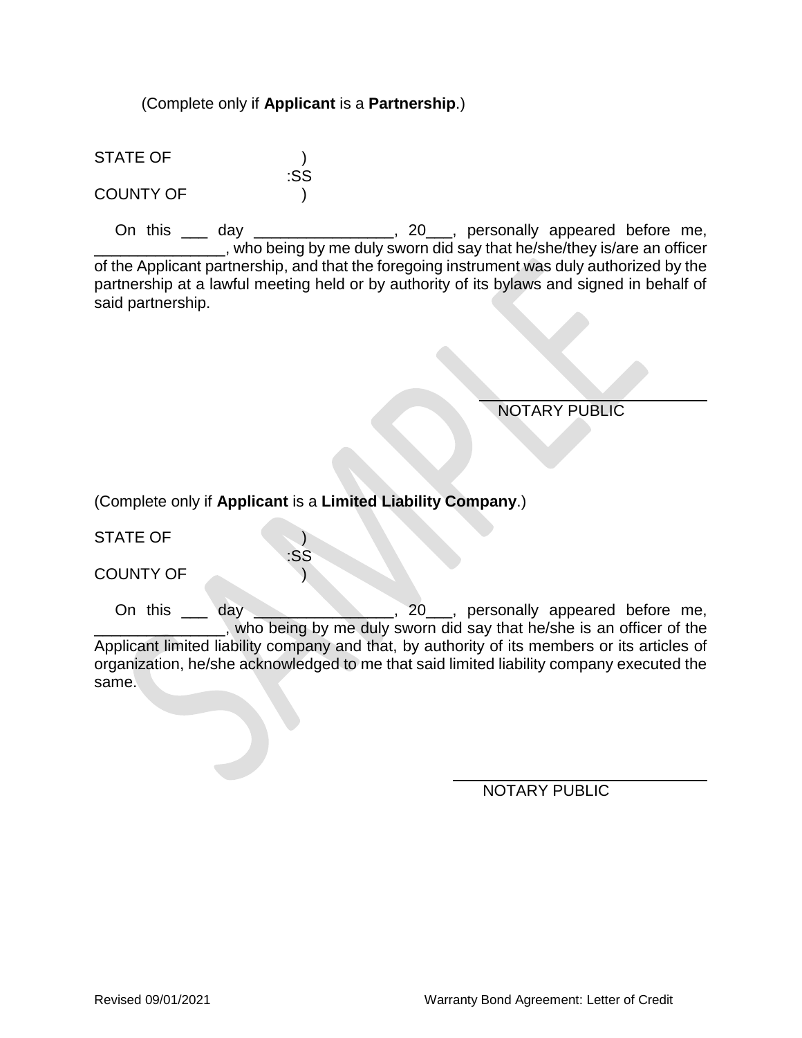#### (Complete only if **Applicant** is a **Partnership**.)

:SS

STATE OF ) COUNTY OF )

On this \_\_\_ day \_\_\_\_\_\_\_\_\_\_\_\_\_\_\_, 20\_\_\_, personally appeared before me, who being by me duly sworn did say that he/she/they is/are an officer of the Applicant partnership, and that the foregoing instrument was duly authorized by the partnership at a lawful meeting held or by authority of its bylaws and signed in behalf of said partnership.

NOTARY PUBLIC

(Complete only if **Applicant** is a **Limited Liability Company**.)

:SS

STATE OF )

COUNTY OF )

On this \_\_\_ day \_\_\_\_\_\_\_\_\_\_\_\_\_, 20\_\_, personally appeared before me, \_\_\_\_\_\_\_\_\_\_\_\_\_\_\_, who being by me duly sworn did say that he/she is an officer of the Applicant limited liability company and that, by authority of its members or its articles of organization, he/she acknowledged to me that said limited liability company executed the same.

 $\overline{a}$ 

NOTARY PUBLIC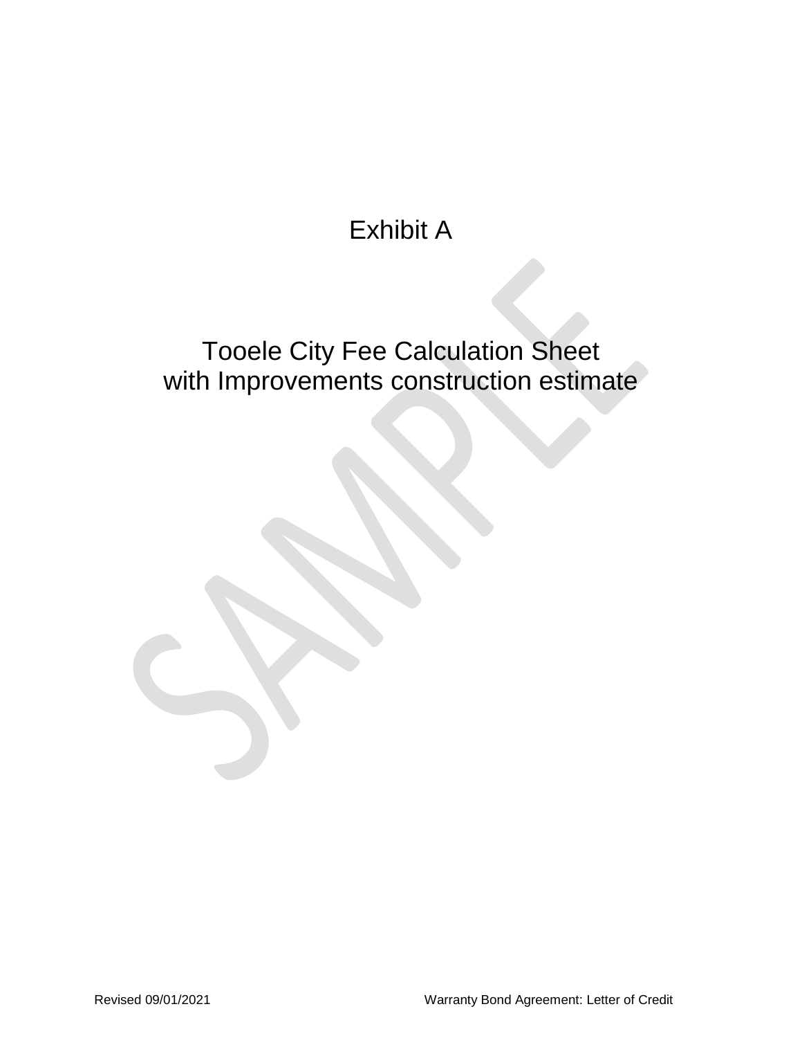# Exhibit A

# Tooele City Fee Calculation Sheet with Improvements construction estimate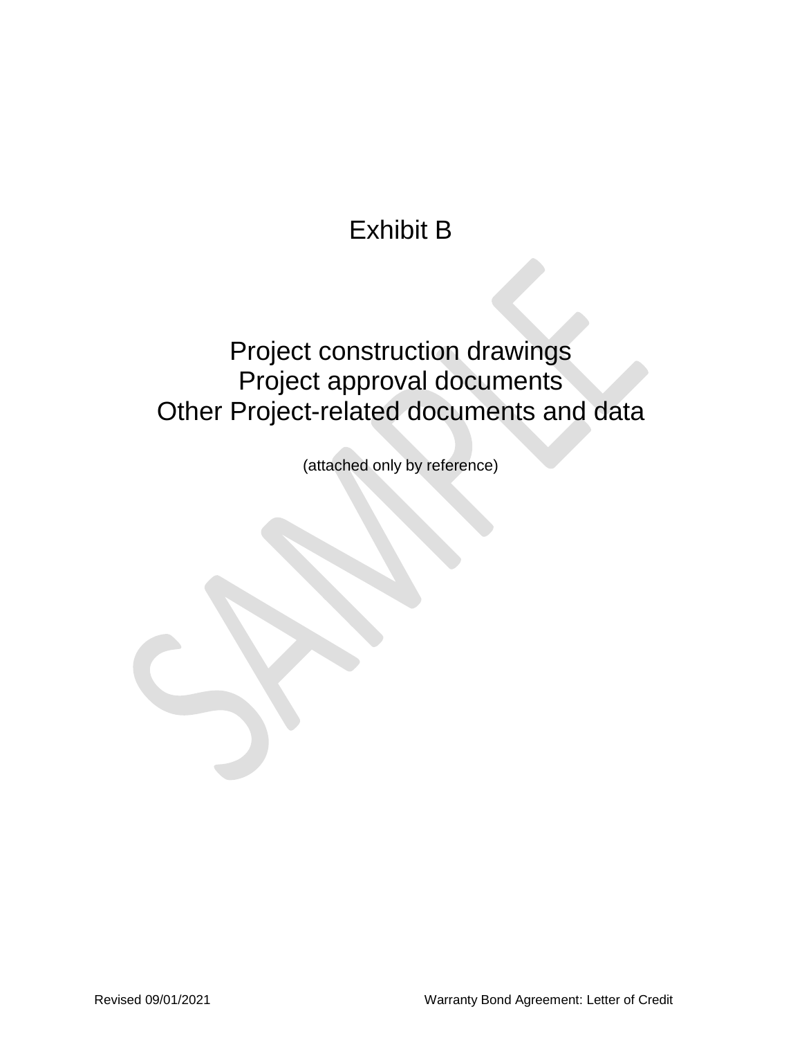# Exhibit B

## Project construction drawings Project approval documents Other Project-related documents and data

(attached only by reference)